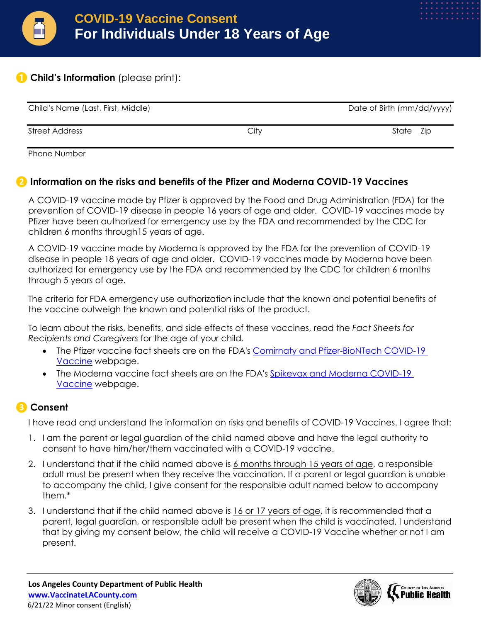

## **❶ Child's Information** (please print):

| Child's Name (Last, First, Middle) |      | Date of Birth (mm/dd/yyyy) |  |  |
|------------------------------------|------|----------------------------|--|--|
| <b>Street Address</b>              | City | State Zip                  |  |  |

Phone Number

## **❷ Information on the risks and benefits of the Pfizer and Moderna COVID-19 Vaccines**

A COVID-19 vaccine made by Pfizer is approved by the Food and Drug Administration (FDA) for the prevention of COVID-19 disease in people 16 years of age and older. COVID-19 vaccines made by Pfizer have been authorized for emergency use by the FDA and recommended by the CDC for children 6 months through15 years of age.

A COVID-19 vaccine made by Moderna is approved by the FDA for the prevention of COVID-19 disease in people 18 years of age and older. COVID-19 vaccines made by Moderna have been authorized for emergency use by the FDA and recommended by the CDC for children 6 months through 5 years of age.

The criteria for FDA emergency use authorization include that the known and potential benefits of the vaccine outweigh the known and potential risks of the product.

To learn about the risks, benefits, and side effects of these vaccines, read the *Fact Sheets for Recipients and Caregivers* for the age of your child.

- The Pfizer vaccine fact sheets are on the FDA's [Comirnaty and Pfizer-BioNTech COVID-19](https://www.fda.gov/emergency-preparedness-and-response/coronavirus-disease-2019-covid-19/comirnaty-and-pfizer-biontech-covid-19-vaccine#additional)  [Vaccine](https://www.fda.gov/emergency-preparedness-and-response/coronavirus-disease-2019-covid-19/comirnaty-and-pfizer-biontech-covid-19-vaccine#additional) webpage.
- The Moderna vaccine fact sheets are on the FDA's [Spikevax and Moderna COVID-19](https://www.fda.gov/emergency-preparedness-and-response/coronavirus-disease-2019-covid-19/spikevax-and-moderna-covid-19-vaccine#additional)  [Vaccine](https://www.fda.gov/emergency-preparedness-and-response/coronavirus-disease-2019-covid-19/spikevax-and-moderna-covid-19-vaccine#additional) webpage.

## **❸ Consent**

I have read and understand the information on risks and benefits of COVID-19 Vaccines. I agree that:

- 1. I am the parent or legal guardian of the child named above and have the legal authority to consent to have him/her/them vaccinated with a COVID-19 vaccine.
- 2. I understand that if the child named above is 6 months through 15 years of age, a responsible adult must be present when they receive the vaccination. If a parent or legal guardian is unable to accompany the child, I give consent for the responsible adult named below to accompany them.\*
- 3. I understand that if the child named above is 16 or 17 years of age, it is recommended that a parent, legal guardian, or responsible adult be present when the child is vaccinated. I understand that by giving my consent below, the child will receive a COVID-19 Vaccine whether or not I am present.